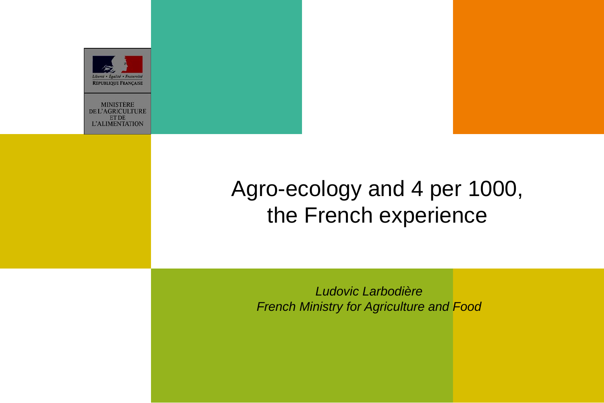

**MINISTÈRE DE L'AGRICULTURE ET DE L'ALIMENTATION** 

## Agro-ecology and 4 per 1000, the French experience

*Ludovic Larbodière French Ministry for Agriculture and Food*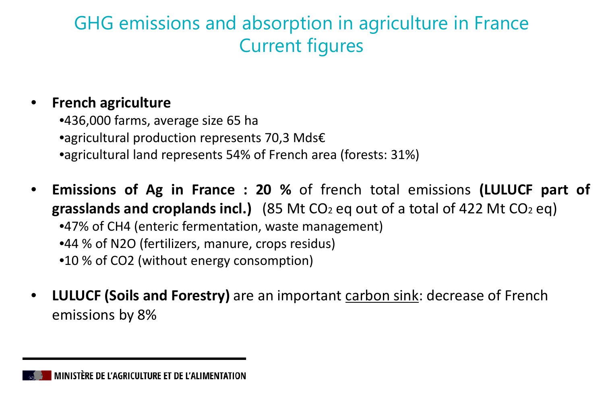#### GHG emissions and absorption in agriculture in France Current figures

#### • **French agriculture**

•436,000 farms, average size 65 ha •agricultural production represents 70,3 Mds€ •agricultural land represents 54% of French area (forests: 31%)

- **Emissions of Ag in France : 20 %** of french total emissions **(LULUCF part of grasslands and croplands incl.)** (85 Mt CO2 eq out of a total of 422 Mt CO2 eq) •47% of CH4 (enteric fermentation, waste management) •44 % of N2O (fertilizers, manure, crops residus) •10 % of CO2 (without energy consomption)
- **LULUCF (Soils and Forestry)** are an important carbon sink: decrease of French emissions by 8%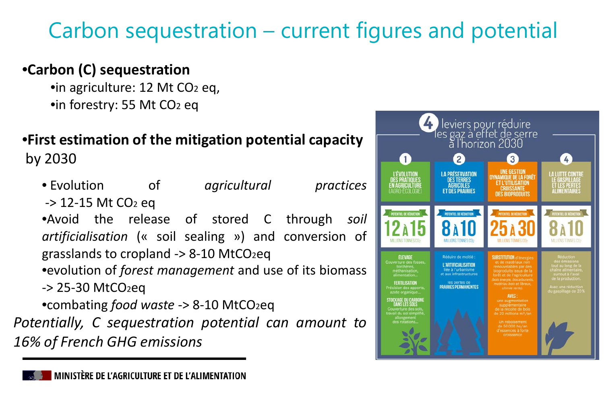# Carbon sequestration – current figures and potential

#### •**Carbon (C) sequestration**

•in agriculture: 12 Mt CO<sub>2</sub> eq, •in forestry: 55 Mt CO2 eq

# •**First estimation of the mitigation potential capacity**

by 2030

| • Evolution                                            | -of | agricultural |  | practices |  |
|--------------------------------------------------------|-----|--------------|--|-----------|--|
| -> 12-15 Mt CO2 eq                                     |     |              |  |           |  |
| .Avoid the release of stored C through soil            |     |              |  |           |  |
| artificialisation (« soil sealing ») and conversion of |     |              |  |           |  |
| grasslands to cropland -> 8-10 MtCO2eq                 |     |              |  |           |  |
| •evolution of forest management and use of its biomass |     |              |  |           |  |
| -> 25-30 MtCO2eq                                       |     |              |  |           |  |
| •combating food waste -> 8-10 MtCO2eq                  |     |              |  |           |  |
| Potentially, C sequestration potential can amount to   |     |              |  |           |  |
| <b>16% of French GHG emissions</b>                     |     |              |  |           |  |

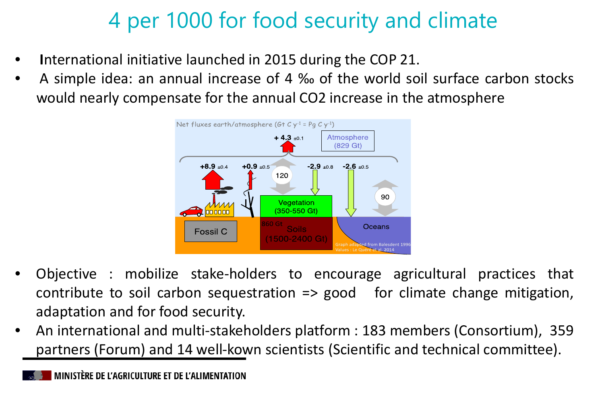## 4 per 1000 for food security and climate

- **I**nternational initiative launched in 2015 during the COP 21.
- A simple idea: an annual increase of 4 ‰ of the world soil surface carbon stocks would nearly compensate for the annual CO2 increase in the atmosphere



- Objective : mobilize stake-holders to encourage agricultural practices that contribute to soil carbon sequestration  $\Rightarrow$  good for climate change mitigation, adaptation and for food security.
- An international and multi-stakeholders platform : 183 members (Consortium), 359 partners (Forum) and 14 well-kown scientists (Scientific and technical committee).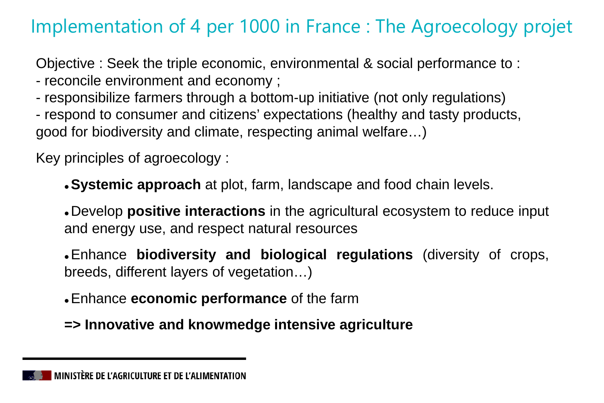### Implementation of 4 per 1000 in France : The Agroecology projet

Objective : Seek the triple economic, environmental & social performance to :

- reconcile environment and economy ;
- responsibilize farmers through a bottom-up initiative (not only regulations)
- respond to consumer and citizens' expectations (healthy and tasty products, good for biodiversity and climate, respecting animal welfare…)

Key principles of agroecology :

**Systemic approach** at plot, farm, landscape and food chain levels.

 Develop **positive interactions** in the agricultural ecosystem to reduce input and energy use, and respect natural resources

 Enhance **biodiversity and biological regulations** (diversity of crops, breeds, different layers of vegetation…)

Enhance **economic performance** of the farm

**=> Innovative and knowmedge intensive agriculture**

MINISTÈRE DE L'AGRICULTURE ET DE L'ALIMENTATION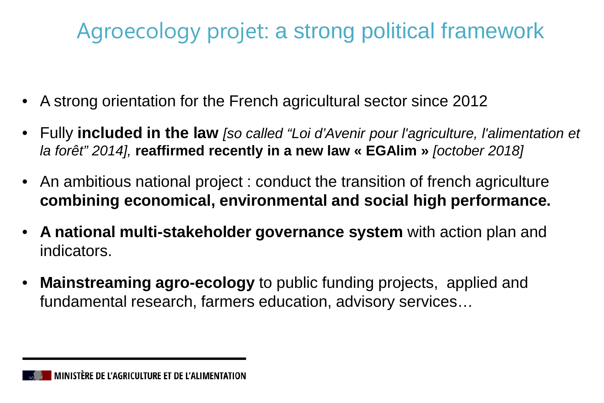## Agroecology projet: a strong political framework

- A strong orientation for the French agricultural sector since 2012
- Fully **included in the law** *[so called "Loi d'Avenir pour l'agriculture, l'alimentation et la forêt" 2014],* **reaffirmed recently in a new law « EGAlim »** *[october 2018]*
- An ambitious national project : conduct the transition of french agriculture **combining economical, environmental and social high performance.**
- **A national multi-stakeholder governance system** with action plan and indicators.
- **Mainstreaming agro-ecology** to public funding projects, applied and fundamental research, farmers education, advisory services…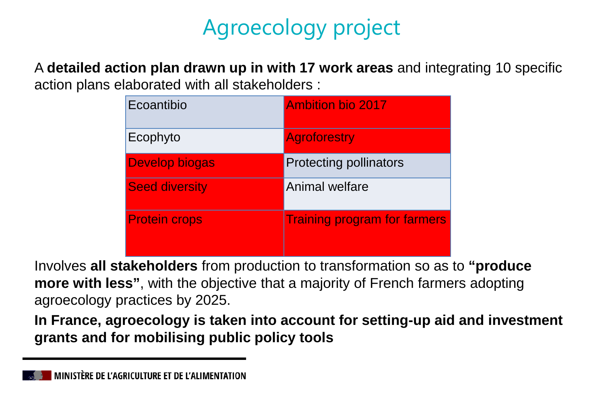# Agroecology project

A **detailed action plan drawn up in with 17 work areas** and integrating 10 specific action plans elaborated with all stakeholders :

| Ecoantibio            | <b>Ambition bio 2017</b>            |
|-----------------------|-------------------------------------|
| Ecophyto              | <b>Agroforestry</b>                 |
| <b>Develop biogas</b> | <b>Protecting pollinators</b>       |
| <b>Seed diversity</b> | <b>Animal welfare</b>               |
| <b>Protein crops</b>  | <b>Training program for farmers</b> |

Involves **all stakeholders** from production to transformation so as to **"produce more with less**", with the objective that a majority of French farmers adopting agroecology practices by 2025.

**In France, agroecology is taken into account for setting-up aid and investment grants and for mobilising public policy tools**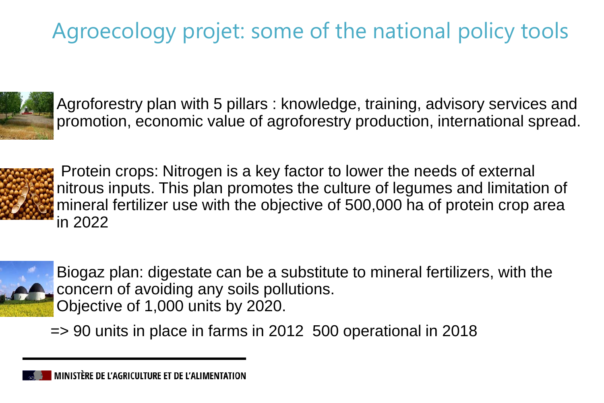# Agroecology projet: some of the national policy tools



 Agroforestry plan with 5 pillars : knowledge, training, advisory services and promotion, economic value of agroforestry production, international spread.



 Protein crops: Nitrogen is a key factor to lower the needs of external nitrous inputs. This plan promotes the culture of legumes and limitation of mineral fertilizer use with the objective of 500,000 ha of protein crop area in 2022



 Biogaz plan: digestate can be a substitute to mineral fertilizers, with the concern of avoiding any soils pollutions. Objective of 1,000 units by 2020.

=> 90 units in place in farms in 2012 500 operational in 2018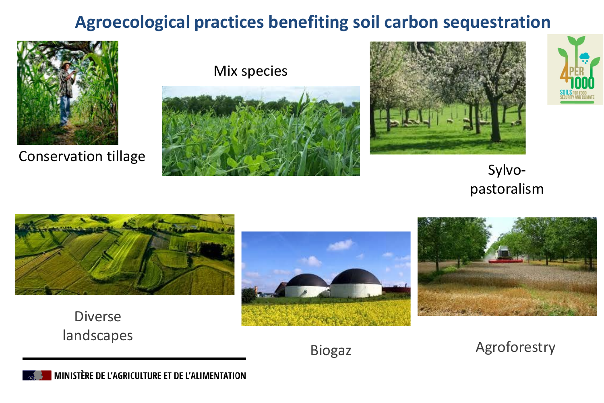#### **Agroecological practices benefiting soil carbon sequestration**



Conservation tillage

Mix species







Sylvopastoralism



Diverse landscapes





Biogaz

Agroforestry

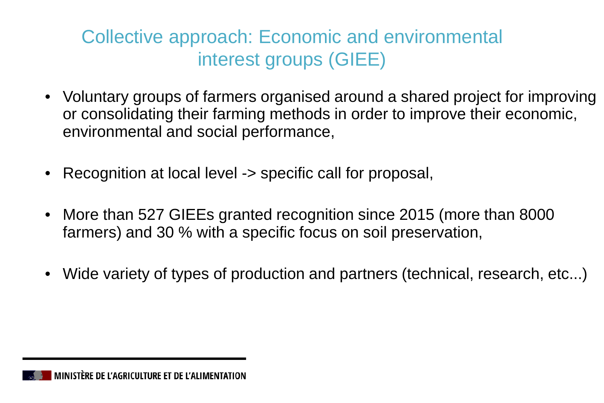### Collective approach: Economic and environmental interest groups (GIEE)

- Voluntary groups of farmers organised around a shared project for improving or consolidating their farming methods in order to improve their economic, environmental and social performance,
- Recognition at local level -> specific call for proposal,
- More than 527 GIEEs granted recognition since 2015 (more than 8000 farmers) and 30 % with a specific focus on soil preservation,
- Wide variety of types of production and partners (technical, research, etc...)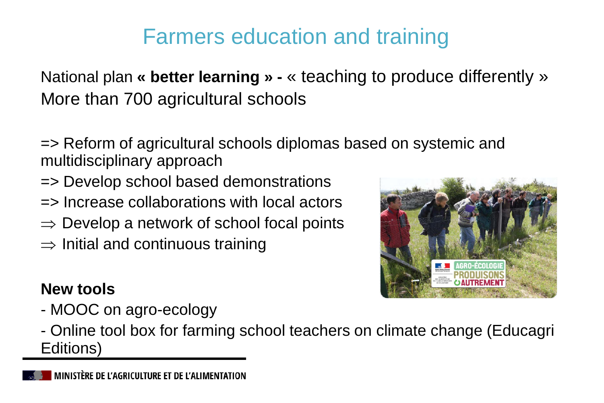## Farmers education and training

National plan **« better learning » -** « teaching to produce differently » More than 700 agricultural schools

- => Reform of agricultural schools diplomas based on systemic and multidisciplinary approach
- => Develop school based demonstrations
- => Increase collaborations with local actors
- $\Rightarrow$  Develop a network of school focal points
- $\Rightarrow$  Initial and continuous training

#### **New tools**

- MOOC on agro-ecology



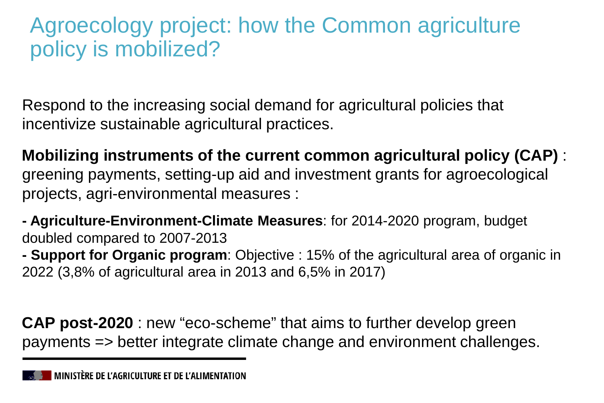### Agroecology project: how the Common agriculture policy is mobilized?

Respond to the increasing social demand for agricultural policies that incentivize sustainable agricultural practices.

**Mobilizing instruments of the current common agricultural policy (CAP)** : greening payments, setting-up aid and investment grants for agroecological projects, agri-environmental measures :

**- Agriculture-Environment-Climate Measures**: for 2014-2020 program, budget doubled compared to 2007-2013

**- Support for Organic program**: Objective : 15% of the agricultural area of organic in 2022 (3,8% of agricultural area in 2013 and 6,5% in 2017)

**CAP post-2020** : new "eco-scheme" that aims to further develop green payments => better integrate climate change and environment challenges.